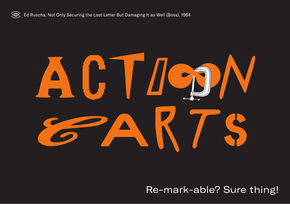



## Re-mark-able? Sure thing!